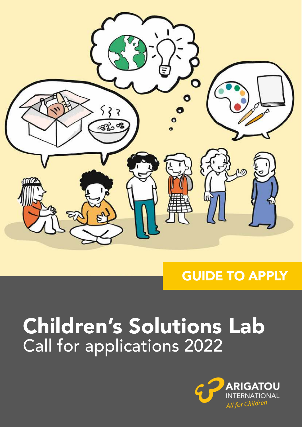

## GUIDE TO APPLY

# Children's Solutions Lab Call for applications 2022

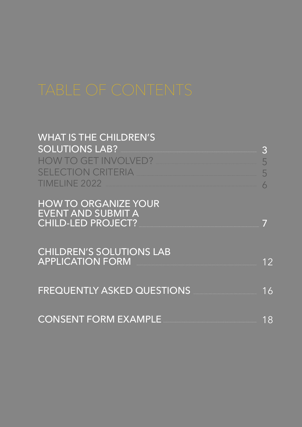| <b>WHAT IS THE CHILDREN'S</b><br><b>SOLUTIONS LAB?</b><br><b>HOW TO GET INVOLVED?</b><br><b>Contract Contract Contract Contract Contract Contract Contract Contract Contract Contract Contract Contract Co</b><br><b>SELECTION CRITERIA</b><br><b>TIMELINE 2022</b> | $\overline{3}$<br>5 |
|---------------------------------------------------------------------------------------------------------------------------------------------------------------------------------------------------------------------------------------------------------------------|---------------------|
| <b>HOW TO ORGANIZE YOUR</b><br><b>EVENT AND SUBMIT A</b><br><b>CHILD-LED PROJECT?</b>                                                                                                                                                                               |                     |
| <b>CHILDREN'S SOLUTIONS LAB</b><br><b>APPLICATION FORM</b>                                                                                                                                                                                                          | 12                  |
| <b>FREQUENTLY ASKED QUESTIONS</b>                                                                                                                                                                                                                                   | 16                  |
| <b>CONSENT FORM EXAMPLE</b>                                                                                                                                                                                                                                         | 18                  |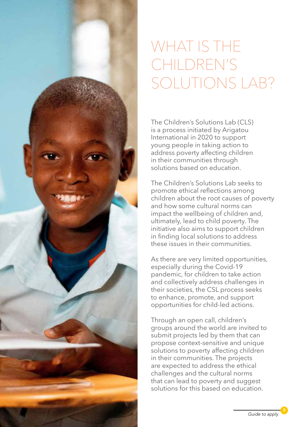

## WHAT IS THE CHILDREN'S SOLUTIONS LAB?

The Children's Solutions Lab (CLS) is a process initiated by Arigatou International in 2020 to support young people in taking action to address poverty affecting children in their communities through solutions based on education.

The Children's Solutions Lab seeks to promote ethical reflections among children about the root causes of poverty and how some cultural norms can impact the wellbeing of children and, ultimately, lead to child poverty. The initiative also aims to support children in finding local solutions to address these issues in their communities.

As there are very limited opportunities, especially during the Covid-19 pandemic, for children to take action and collectively address challenges in their societies, the CSL process seeks to enhance, promote, and support opportunities for child-led actions.

Through an open call, children's groups around the world are invited to submit projects led by them that can propose context-sensitive and unique solutions to poverty affecting children in their communities. The projects are expected to address the ethical challenges and the cultural norms that can lead to poverty and suggest solutions for this based on education.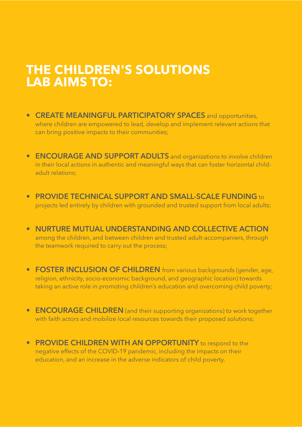## **THE CHILDREN'S SOLUTIONS LAB AIMS TO:**

- **CREATE MEANINGFUL PARTICIPATORY SPACES** and opportunities, where children are empowered to lead, develop and implement relevant actions that can bring positive impacts to their communities;
- **ENCOURAGE AND SUPPORT ADULTS** and organizations to involve children in their local actions in authentic and meaningful ways that can foster horizontal childadult relations;
- **PROVIDE TECHNICAL SUPPORT AND SMALL-SCALE FUNDING** to projects led entirely by children with grounded and trusted support from local adults;
- **NURTURE MUTUAL UNDERSTANDING AND COLLECTIVE ACTION** among the children, and between children and trusted adult-accompaniers, through the teamwork required to carry out the process;
- **FOSTER INCLUSION OF CHILDREN** from various backgrounds (gender, age, religion, ethnicity, socio-economic background, and geographic location) towards taking an active role in promoting children's education and overcoming child poverty;
- **ENCOURAGE CHILDREN** (and their supporting organizations) to work together with faith actors and mobilize local resources towards their proposed solutions;
- **PROVIDE CHILDREN WITH AN OPPORTUNITY** to respond to the negative effects of the COVID-19 pandemic, including the impacts on their education, and an increase in the adverse indicators of child poverty.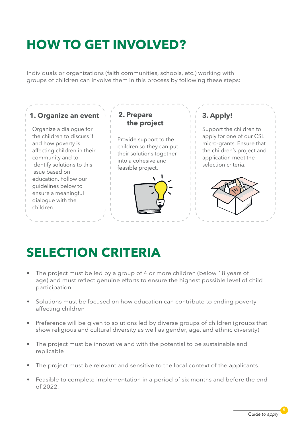## **HOW TO GET INVOLVED?**

Individuals or organizations (faith communities, schools, etc.) working with groups of children can involve them in this process by following these steps:



## **SELECTION CRITERIA**

- The project must be led by a group of 4 or more children (below 18 years of age) and must reflect genuine efforts to ensure the highest possible level of child participation.
- Solutions must be focused on how education can contribute to ending poverty affecting children
- Preference will be given to solutions led by diverse groups of children (groups that show religious and cultural diversity as well as gender, age, and ethnic diversity)
- The project must be innovative and with the potential to be sustainable and replicable
- The project must be relevant and sensitive to the local context of the applicants.
- Feasible to complete implementation in a period of six months and before the end of 2022.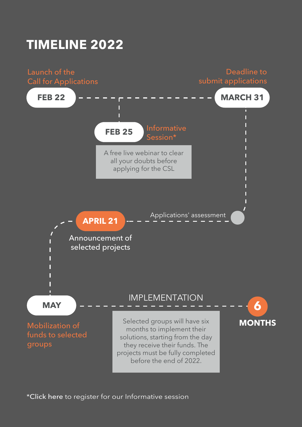## **TIMELINE 2022**

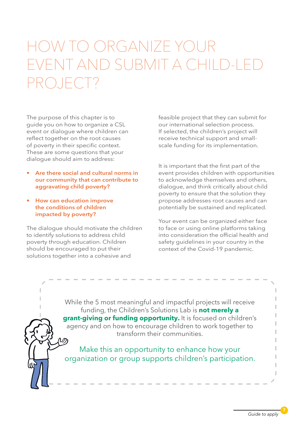## V IO ORGANIZE YO EAND SUBMIT A C PROJECT?

The purpose of this chapter is to guide you on how to organize a CSL event or dialogue where children can reflect together on the root causes of poverty in their specific context. These are some questions that your dialogue should aim to address:

- **Are there social and cultural norms in our community that can contribute to aggravating child poverty?**
- **How can education improve the conditions of children impacted by poverty?**

The dialogue should motivate the children to identify solutions to address child poverty through education. Children should be encouraged to put their solutions together into a cohesive and

feasible project that they can submit for our international selection process. If selected, the children's project will receive technical support and smallscale funding for its implementation.

It is important that the first part of the event provides children with opportunities to acknowledge themselves and others, dialogue, and think critically about child poverty to ensure that the solution they propose addresses root causes and can potentially be sustained and replicated.

Your event can be organized either face to face or using online platforms taking into consideration the official health and safety guidelines in your country in the context of the Covid-19 pandemic.

While the 5 most meaningful and impactful projects will receive funding, the Children's Solutions Lab is **not merely a grant-giving or funding opportunity.** It is focused on children's agency and on how to encourage children to work together to transform their communities.

Make this an opportunity to enhance how your organization or group supports children's participation.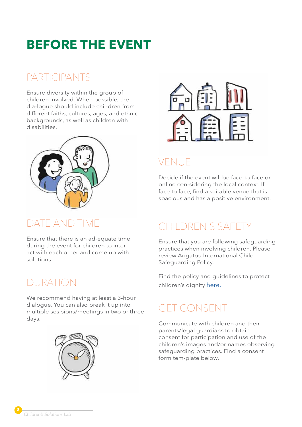## **BEFORE THE EVENT**

## PARTICIPANTS

Ensure diversity within the group of children involved. When possible, the dia-logue should include chil-dren from different faiths, cultures, ages, and ethnic backgrounds, as well as children with disabilities.



### DATE AND TIME

Ensure that there is an ad-equate time during the event for children to interact with each other and come up with solutions.

### DURATION

We recommend having at least a 3-hour dialogue. You can also break it up into multiple ses-sions/meetings in two or three days.





## VENUE

Decide if the event will be face-to-face or online con-sidering the local context. If face to face, find a suitable venue that is spacious and has a positive environment.

## CHILDREN'S SAFETY

Ensure that you are following safeguarding practices when involving children. Please review Arigatou International Child Safeguarding Policy.

Find the policy and guidelines to protect children's dignity [here.](https://arigatouinternational.org/all-with-children/safeguarding/)

## GET CONSENT

Communicate with children and their parents/legal guardians to obtain consent for participation and use of the children's images and/or names observing safeguarding practices. Find a consent form tem-plate below.

8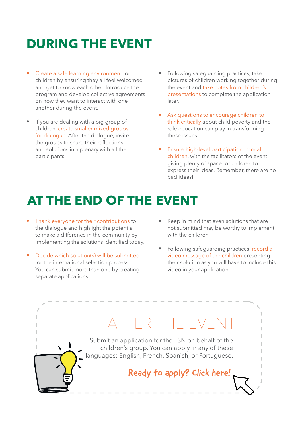## **DURING THE EVENT**

- Create a safe learning environment for children by ensuring they all feel welcomed and get to know each other. Introduce the program and develop collective agreements on how they want to interact with one another during the event.
- If you are dealing with a big group of children, create smaller mixed groups for dialogue. After the dialogue, invite the groups to share their reflections and solutions in a plenary with all the participants.
- Following safeguarding practices, take pictures of children working together during the event and take notes from children's presentations to complete the application later.
- Ask questions to encourage children to think critically about child poverty and the role education can play in transforming these issues.
- Ensure high-level participation from all children, with the facilitators of the event giving plenty of space for children to express their ideas. Remember, there are no bad ideas!

## **AT THE END OF THE EVENT**

- Thank everyone for their contributions to the dialogue and highlight the potential to make a difference in the community by implementing the solutions identified today.
- Decide which solution(s) will be submitted for the international selection process. You can submit more than one by creating separate applications.
- Keep in mind that even solutions that are not submitted may be worthy to implement with the children.
- Following safeguarding practices, record a video message of the children presenting their solution as you will have to include this video in your application.

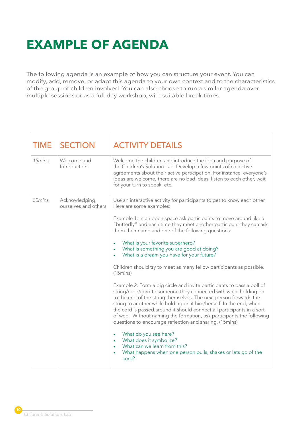## **EXAMPLE OF AGENDA**

The following agenda is an example of how you can structure your event. You can modify, add, remove, or adapt this agenda to your own context and to the characteristics of the group of children involved. You can also choose to run a similar agenda over multiple sessions or as a full-day workshop, with suitable break times.

| <b>TIME</b>        | <b>SECTION</b>                        | <b>ACTIVITY DETAILS</b>                                                                                                                                                                                                                                                                                                                                                                                                                                                                             |
|--------------------|---------------------------------------|-----------------------------------------------------------------------------------------------------------------------------------------------------------------------------------------------------------------------------------------------------------------------------------------------------------------------------------------------------------------------------------------------------------------------------------------------------------------------------------------------------|
| 15 <sub>mins</sub> | Welcome and<br>Introduction           | Welcome the children and introduce the idea and purpose of<br>the Children's Solution Lab. Develop a few points of collective<br>agreements about their active participation. For instance: everyone's<br>ideas are welcome, there are no bad ideas, listen to each other, wait<br>for your turn to speak, etc.                                                                                                                                                                                     |
| 30mins             | Acknowledging<br>ourselves and others | Use an interactive activity for participants to get to know each other.<br>Here are some examples:                                                                                                                                                                                                                                                                                                                                                                                                  |
|                    |                                       | Example 1: In an open space ask participants to move around like a<br>"butterfly" and each time they meet another participant they can ask<br>them their name and one of the following questions:                                                                                                                                                                                                                                                                                                   |
|                    |                                       | What is your favorite superhero?<br>What is something you are good at doing?<br>What is a dream you have for your future?                                                                                                                                                                                                                                                                                                                                                                           |
|                    |                                       | Children should try to meet as many fellow participants as possible.<br>(15)                                                                                                                                                                                                                                                                                                                                                                                                                        |
|                    |                                       | Example 2: Form a big circle and invite participants to pass a boll of<br>string/rope/cord to someone they connected with while holding on<br>to the end of the string themselves. The next person forwards the<br>string to another while holding on it him/herself. In the end, when<br>the cord is passed around it should connect all participants in a sort<br>of web. Without naming the formation, ask participants the following<br>questions to encourage reflection and sharing. (15mins) |
|                    |                                       | What do you see here?<br>$\bullet$<br>What does it symbolize?<br>What can we learn from this?<br>What happens when one person pulls, shakes or lets go of the<br>cord?                                                                                                                                                                                                                                                                                                                              |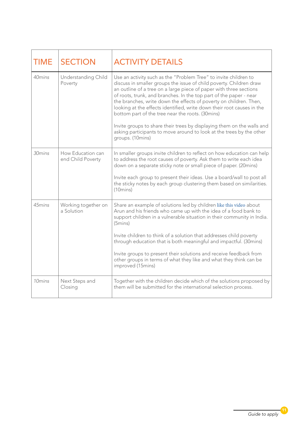| <b>TIME</b>        | <b>SECTION</b>                         | <b>ACTIVITY DETAILS</b>                                                                                                                                                                                                                                                                                                                                                                                                                                                                                                                                                                                                                                       |
|--------------------|----------------------------------------|---------------------------------------------------------------------------------------------------------------------------------------------------------------------------------------------------------------------------------------------------------------------------------------------------------------------------------------------------------------------------------------------------------------------------------------------------------------------------------------------------------------------------------------------------------------------------------------------------------------------------------------------------------------|
| 40mins             | Understanding Child<br>Poverty         | Use an activity such as the "Problem Tree" to invite children to<br>discuss in smaller groups the issue of child poverty. Children draw<br>an outline of a tree on a large piece of paper with three sections<br>of roots, trunk, and branches. In the top part of the paper - near<br>the branches, write down the effects of poverty on children. Then,<br>looking at the effects identified, write down their root causes in the<br>bottom part of the tree near the roots. (30mins)<br>Invite groups to share their trees by displaying them on the walls and<br>asking participants to move around to look at the trees by the other<br>groups. (10mins) |
| 30mins             | How Education can<br>end Child Poverty | In smaller groups invite children to reflect on how education can help<br>to address the root causes of poverty. Ask them to write each idea<br>down on a separate sticky note or small piece of paper. (20mins)<br>Invite each group to present their ideas. Use a board/wall to post all<br>the sticky notes by each group clustering them based on similarities.<br>(10 mins)                                                                                                                                                                                                                                                                              |
| 45mins             | Working together on<br>a Solution      | Share an example of solutions led by children like this video about<br>Arun and his friends who came up with the idea of a food bank to<br>support children in a vulnerable situation in their community in India.<br>(5mins)<br>Invite children to think of a solution that addresses child poverty<br>through education that is both meaningful and impactful. (30mins)<br>Invite groups to present their solutions and receive feedback from<br>other groups in terms of what they like and what they think can be<br>improved (15mins)                                                                                                                    |
| 10 <sub>mins</sub> | Next Steps and<br>Closing              | Together with the children decide which of the solutions proposed by<br>them will be submitted for the international selection process.                                                                                                                                                                                                                                                                                                                                                                                                                                                                                                                       |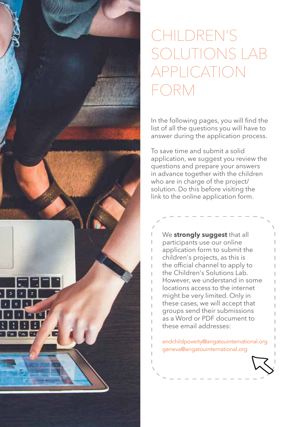

## CHILDREN'S SOLUTIONS LAB APPLICATION FORM

In the following pages, you will find the list of all the questions you will have to answer during the application process.

To save time and submit a solid application, we suggest you review the questions and prepare your answers in advance together with the children who are in charge of the project/ solution. Do this before visiting the link to the online application form.

We **strongly suggest** that all participants use our online application form to submit the children's projects, as this is the official channel to apply to the Children's Solutions Lab. However, we understand in some locations access to the internet might be very limited. Only in these cases, we will accept that groups send their submissions as a Word or PDF document to these email addresses:

endchildpoverty@arigatouinternational.org geneva@arigatouinternational.org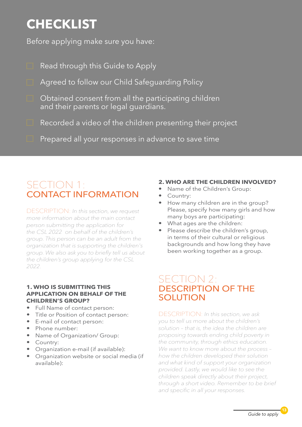## **CHECKLIST**

Before applying make sure you have:

- Read through this Guide to Apply
- Agreed to follow our [Child Safeguarding Policy](https://arigatouinternational.org/all-with-children/safeguarding/safeguarding-policy/)
- Obtained consent from all the participating children and their parents or legal guardians.
- Recorded a video of the children presenting their project
- Prepared all your responses in advance to save time

### SECTION 1: CONTACT INFORMATION

DESCRIPTION: *In this section, we request more information about the main contact person submitting the application for the CSL 2022 on behalf of the children's group. This person can be an adult from the organization that is supporting the children's group. We also ask you to briefly tell us about the children's group applying for the CSL 2022.* 

#### **1. WHO IS SUBMITTING THIS APPLICATION ON BEHALF OF THE CHILDREN'S GROUP?**

- Full Name of contact person:
- Title or Position of contact person:
- E-mail of contact person:
- Phone number:
- Name of Organization/ Group:
- Country:
- Organization e-mail (if available):
- Organization website or social media (if available):

### **2. WHO ARE THE CHILDREN INVOLVED?**

- Name of the Children's Group:
- Country:
- How many children are in the group? Please, specify how many girls and how many boys are participating:
- What ages are the children:
- Please describe the children's group, in terms of their cultural or religious backgrounds and how long they have been working together as a group.

### SECTION 2: DESCRIPTION OF THE SOLUTION

DESCRIPTION: *In this section, we ask you to tell us more about the children's solution – that is, the idea the children are proposing towards ending child poverty in the community, through ethics education. We want to know more about the process – how the children developed their solution and what kind of support your organization provided. Lastly, we would like to see the children speak directly about their project, through a short video. Remember to be brief and specific in all your responses.*

13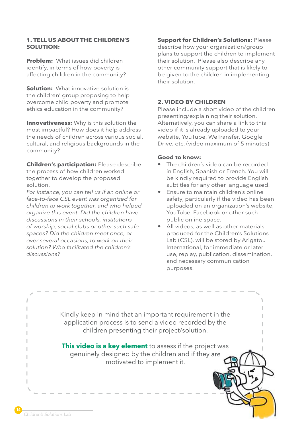#### **1. TELL US ABOUT THE CHILDREN'S SOLUTION:**

**Problem:** What issues did children identify, in terms of how poverty is affecting children in the community?

**Solution:** What innovative solution is the children' group proposing to help overcome child poverty and promote ethics education in the community?

**Innovativeness:** Why is this solution the most impactful? How does it help address the needs of children across various social, cultural, and religious backgrounds in the community?

**Children's participation:** Please describe the process of how children worked together to develop the proposed solution.

*For instance, you can tell us if an online or face-to-face CSL event was organized for children to work together, and who helped organize this event. Did the children have discussions in their schools, institutions of worship, social clubs or other such safe spaces? Did the children meet once, or over several occasions, to work on their solution? Who facilitated the children's discussions?* 

### **Support for Children's Solutions:** Please

describe how your organization/group plans to support the children to implement their solution. Please also describe any other community support that is likely to be given to the children in implementing their solution.

#### **2. VIDEO BY CHILDREN**

Please include a short video of the children presenting/explaining their solution. Alternatively, you can share a link to this video if it is already uploaded to your website, YouTube, WeTransfer, Google Drive, etc. (video maximum of 5 minutes)

#### **Good to know:**

- The children's video can be recorded in English, Spanish or French. You will be kindly required to provide English subtitles for any other language used.
- Ensure to maintain children's online safety, particularly if the video has been uploaded on an organization's website, YouTube, Facebook or other such public online space.
- All videos, as well as other materials produced for the Children's Solutions Lab (CSL), will be stored by Arigatou International, for immediate or later use, replay, publication, dissemination, and necessary communication purposes.

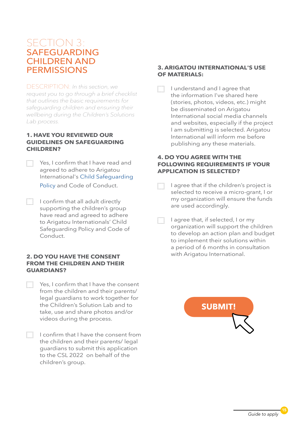### SECTION 3: SAFEGUARDING CHILDREN AND **PERMISSIONS**

DESCRIPTION: *In this section, we request you to go through a brief checklist that outlines the basic requirements for safeguarding children and ensuring their wellbeing during the Children's Solutions Lab process.* 

#### **1. HAVE YOU REVIEWED OUR GUIDELINES ON SAFEGUARDING CHILDREN?**

- Yes, I confirm that I have read and agreed to adhere to Arigatou International's [Child Safeguarding](https://arigatouinternational.org/all-with-children/safeguarding/safeguarding-policy/)  [Policy](https://arigatouinternational.org/all-with-children/safeguarding/safeguarding-policy/) and Code of Conduct.
- I confirm that all adult directly supporting the children's group have read and agreed to adhere to Arigatou Internationals' Child Safeguarding Policy and Code of Conduct.

#### **2. DO YOU HAVE THE CONSENT FROM THE CHILDREN AND THEIR GUARDIANS?**

- Yes, I confirm that I have the consent from the children and their parents/ legal guardians to work together for the Children's Solution Lab and to take, use and share photos and/or videos during the process.
- $\Box$  I confirm that I have the consent from the children and their parents/ legal guardians to submit this application to the CSL 2022 on behalf of the children's group.

#### **3. ARIGATOU INTERNATIONAL'S USE OF MATERIALS:**

I understand and I agree that H the information I've shared here (stories, photos, videos, etc.) might be disseminated on Arigatou International social media channels and websites, especially if the project I am submitting is selected. Arigatou International will inform me before publishing any these materials.

#### **4. DO YOU AGREE WITH THE FOLLOWING REQUIREMENTS IF YOUR APPLICATION IS SELECTED?**

- I agree that if the children's project is m selected to receive a micro-grant, I or my organization will ensure the funds are used accordingly.
- m I agree that, if selected, I or my organization will support the children to develop an action plan and budget to implement their solutions within a period of 6 months in consultation with Arigatou International.

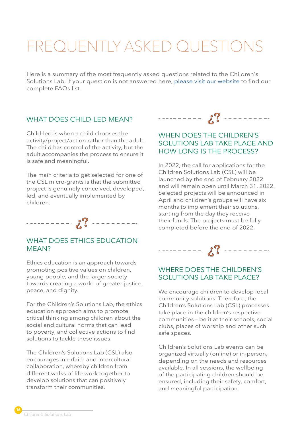## FREQUENTLY ASKED QUESTIONS

Here is a summary of the most frequently asked questions related to the Children's Solutions Lab. If your question is not answered here, [please visit our website](https://arigatouinternational.org/all-with-children/empowerment/children-solutions-lab/) to find our complete FAQs list.

### WHAT DOES CHILD-LED MEAN?

Child-led is when a child chooses the activity/project/action rather than the adult. The child has control of the activity, but the adult accompanies the process to ensure it is safe and meaningful.

The main criteria to get selected for one of the CSL micro-grants is that the submitted project is genuinely conceived, developed, led, and eventually implemented by children.



### WHAT DOES ETHICS EDUCATION MEAN?

Ethics education is an approach towards promoting positive values on children, young people, and the larger society towards creating a world of greater justice, peace, and dignity.

For the Children's Solutions Lab, the ethics education approach aims to promote critical thinking among children about the social and cultural norms that can lead to poverty, and collective actions to find solutions to tackle these issues.

The Children's Solutions Lab (CSL) also encourages interfaith and intercultural collaboration, whereby children from different walks of life work together to develop solutions that can positively transform their communities.



### WHEN DOES THE CHILDREN'S SOLUTIONS LAB TAKE PLACE AND HOW LONG IS THE PROCESS?

In 2022, the call for applications for the Children Solutions Lab (CSL) will be launched by the end of February 2022 and will remain open until March 31, 2022. Selected projects will be announced in April and children's groups will have six months to implement their solutions, starting from the day they receive their funds. The projects must be fully completed before the end of 2022.



### WHERE DOES THE CHILDREN'S SOLUTIONS LAB TAKE PLACE?

We encourage children to develop local community solutions. Therefore, the Children's Solutions Lab (CSL) processes take place in the children's respective communities – be it at their schools, social clubs, places of worship and other such safe spaces.

Children's Solutions Lab events can be organized virtually (online) or in-person, depending on the needs and resources available. In all sessions, the wellbeing of the participating children should be ensured, including their safety, comfort, and meaningful participation.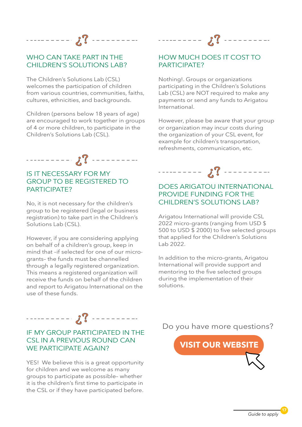

### WHO CAN TAKE PART IN THE CHILDREN'S SOLUTIONS LAB?

The Children's Solutions Lab (CSL) welcomes the participation of children from various countries, communities, faiths, cultures, ethnicities, and backgrounds.

Children (persons below 18 years of age) are encouraged to work together in groups of 4 or more children, to participate in the Children's Solutions Lab (CSL).



### IS IT NECESSARY FOR MY GROUP TO BE REGISTERED TO PARTICIPATE?

No, it is not necessary for the children's group to be registered (legal or business registration) to take part in the Children's Solutions Lab (CSL).

However, if you are considering applying on behalf of a children's group, keep in mind that –if selected for one of our microgrants– the funds must be channelled through a legally registered organization. This means a registered organization will receive the funds on behalf of the children and report to Arigatou International on the use of these funds.



### HOW MUCH DOES IT COST TO PARTICIPATE?

Nothing!. Groups or organizations participating in the Children's Solutions Lab (CSL) are NOT required to make any payments or send any funds to Arigatou International.

However, please be aware that your group or organization may incur costs during the organization of your CSL event, for example for children's transportation, refreshments, communication, etc.



### DOES ARIGATOU INTERNATIONAL PROVIDE FUNDING FOR THE CHILDREN'S SOLUTIONS LAB?

Arigatou International will provide CSL 2022 micro-grants (ranging from USD \$ 500 to USD \$ 2000) to five selected groups that applied for the Children's Solutions Lab 2022.

In addition to the micro-grants, Arigatou International will provide support and mentoring to the five selected groups during the implementation of their solutions.



### IF MY GROUP PARTICIPATED IN THE CSL IN A PREVIOUS ROUND CAN WE PARTICIPATE AGAIN?

YES! We believe this is a great opportunity for children and we welcome as many groups to participate as possible– whether it is the children's first time to participate in the CSL or if they have participated before. Do you have more questions?

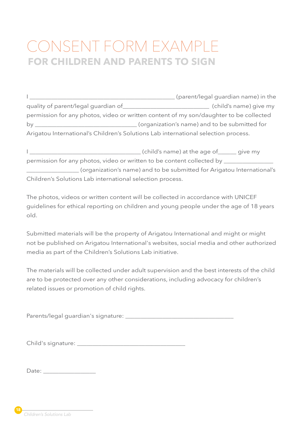## CONSENT FORM EXAMPLE **FOR CHILDREN AND PARENTS TO SIGN**

|                                     | (parent/legal guardian name) in the                                                    |
|-------------------------------------|----------------------------------------------------------------------------------------|
| quality of parent/legal guardian of | (child's name) give my                                                                 |
|                                     | permission for any photos, video or written content of my son/daughter to be collected |
| by                                  | (organization's name) and to be submitted for                                          |
|                                     | Arigatou International's Children's Solutions Lab international selection process.     |

I \_\_\_\_\_\_\_\_\_\_\_\_\_\_\_\_\_\_\_\_\_\_\_\_\_\_\_\_\_\_\_\_\_\_\_\_ (child's name) at the age of\_\_\_\_\_\_ give my permission for any photos, video or written to be content collected by \_\_\_\_\_\_\_\_\_ \_\_\_\_\_\_\_\_\_\_\_\_\_\_\_\_\_ (organization's name) and to be submitted for Arigatou International's Children's Solutions Lab international selection process.

The photos, videos or written content will be collected in accordance with UNICEF guidelines for ethical reporting on children and young people under the age of 18 years old.

Submitted materials will be the property of Arigatou International and might or might not be published on Arigatou International's websites, social media and other authorized media as part of the Children's Solutions Lab initiative.

The materials will be collected under adult supervision and the best interests of the child are to be protected over any other considerations, including advocacy for children's related issues or promotion of child rights.

Parents/legal guardian's signature: \_\_\_\_\_\_\_\_\_\_\_\_\_\_\_\_\_\_\_\_\_\_\_\_\_\_\_\_\_\_\_\_\_\_\_

| Child's signature: |  |
|--------------------|--|
|--------------------|--|

Date: \_\_\_\_\_\_\_\_\_\_\_\_\_\_\_\_\_